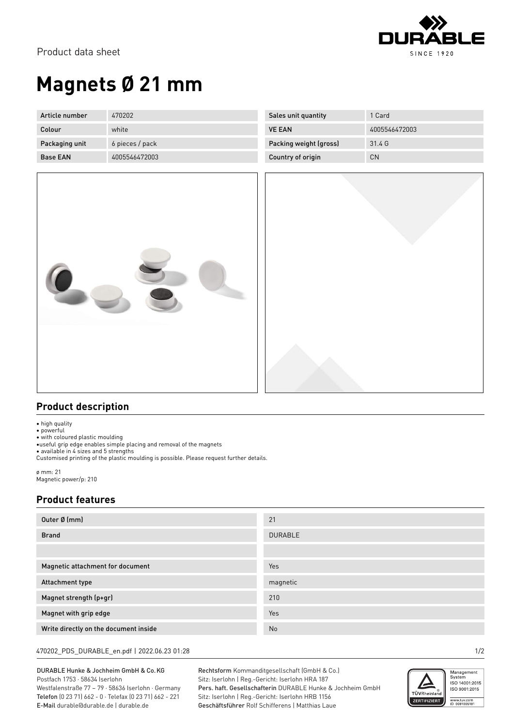

# **Magnets Ø 21 mm**

| Article number  | 470202          | Sales unit quantity    | 1 Card        |
|-----------------|-----------------|------------------------|---------------|
| Colour          | white           | <b>VE EAN</b>          | 4005546472003 |
| Packaging unit  | 6 pieces / pack | Packing weight (gross) | 31.4 G        |
| <b>Base EAN</b> | 4005546472003   | Country of origin      | CN            |



### **Product description**

• high quality

• powerful

• with coloured plastic moulding

•useful grip edge enables simple placing and removal of the magnets

• available in 4 sizes and 5 strengths Customised printing of the plastic moulding is possible. Please request further details.

ø mm: 21 Magnetic power/p: 210

### **Product features**

| Outer Ø (mm)                          | 21             |
|---------------------------------------|----------------|
| <b>Brand</b>                          | <b>DURABLE</b> |
|                                       |                |
| Magnetic attachment for document      | Yes            |
| Attachment type                       | magnetic       |
| Magnet strength (p+gr)                | 210            |
| Magnet with grip edge                 | Yes            |
| Write directly on the document inside | No             |

#### 470202\_PDS\_DURABLE\_en.pdf | 2022.06.23 01:28 1/2

DURABLE Hunke & Jochheim GmbH & Co.KG Postfach 1753 · 58634 Iserlohn Westfalenstraße 77 – 79 · 58636 Iserlohn · Germany Telefon (0 23 71) 662 - 0 · Telefax (0 23 71) 662 - 221 E-Mail durable@durable.de | durable.de

Rechtsform Kommanditgesellschaft (GmbH & Co.) Sitz: Iserlohn | Reg.-Gericht: Iserlohn HRA 187 Pers. haft. Gesellschafterin DURABLE Hunke & Jochheim GmbH Sitz: Iserlohn | Reg.-Gericht: Iserlohn HRB 1156 Geschäftsführer Rolf Schifferens | Matthias Laue